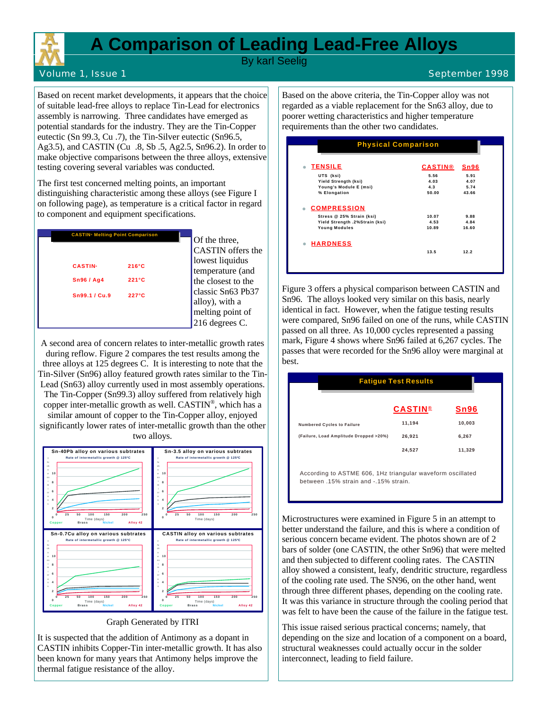

## **A Comparison of Leading Lead-Free Alloys**

By karl Seelig

## Volume 1, Issue 1 September 1998

Based on recent market developments, it appears that the choice of suitable lead-free alloys to replace Tin-Lead for electronics assembly is narrowing. Three candidates have emerged as potential standards for the industry. They are the Tin-Copper eutectic (Sn 99.3, Cu .7), the Tin-Silver eutectic (Sn96.5, Ag3.5), and CASTIN (Cu .8, Sb .5, Ag2.5, Sn96.2). In order to make objective comparisons between the three alloys, extensive testing covering several variables was conducted.

The first test concerned melting points, an important distinguishing characteristic among these alloys (see Figure I on following page), as temperature is a critical factor in regard to component and equipment specifications.



Of the three, CASTIN offers the lowest liquidus temperature (and the closest to the classic Sn63 Pb37 alloy), with a melting point of 216 degrees C.

A second area of concern relates to inter-metallic growth rates during reflow. Figure 2 compares the test results among the three alloys at 125 degrees C. It is interesting to note that the Tin-Silver (Sn96) alloy featured growth rates similar to the Tin-Lead (Sn63) alloy currently used in most assembly operations. The Tin-Copper (Sn99.3) alloy suffered from relatively high copper inter-metallic growth as well. CASTIN® , which has a similar amount of copper to the Tin-Copper alloy, enjoyed significantly lower rates of inter-metallic growth than the other two alloys.



Graph Generated by ITRI

It is suspected that the addition of Antimony as a dopant in CASTIN inhibits Copper-Tin inter-metallic growth. It has also been known for many years that Antimony helps improve the thermal fatigue resistance of the alloy.

Based on the above criteria, the Tin-Copper alloy was not regarded as a viable replacement for the Sn63 alloy, due to poorer wetting characteristics and higher temperature requirements than the other two candidates.

| <b>Physical Comparison</b>     |                      |                |       |
|--------------------------------|----------------------|----------------|-------|
| <b>TENSILE</b>                 |                      | <b>CASTIN®</b> | Sn96  |
| UTS (ksi)                      |                      | 5.56           | 5.91  |
|                                | Yield Strength (ksi) |                | 4.07  |
| Young's Module E (msi)         |                      | 4.3            | 5.74  |
| % Elongation                   |                      | 50.00          | 43.66 |
| <b>COMPRESSION</b>             |                      |                |       |
| Stress @ 25% Strain (ksi)      |                      | 10.07          | 9.88  |
| Yield Strength .2%Strain (ksi) |                      | 4.53           | 4.84  |
| <b>Young Modules</b>           |                      | 10.89          | 16.60 |
| <b>HARDNESS</b>                |                      |                |       |
|                                |                      | 13.5           | 12.2  |

Figure 3 offers a physical comparison between CASTIN and Sn96. The alloys looked very similar on this basis, nearly identical in fact. However, when the fatigue testing results were compared, Sn96 failed on one of the runs, while CASTIN passed on all three. As 10,000 cycles represented a passing mark, Figure 4 shows where Sn96 failed at 6,267 cycles. The passes that were recorded for the Sn96 alloy were marginal at best.

|                                        | <b>Fatigue Test Results</b> |             |
|----------------------------------------|-----------------------------|-------------|
|                                        | <b>CASTIN®</b>              | <b>Sn96</b> |
| <b>Numbered Cycles to Failure</b>      | 11,194                      | 10.003      |
| (Failure, Load Amplitude Dropped >20%) | 26,921                      | 6,267       |
|                                        | 24,527                      | 11,329      |

between 15% strain and - 15% strain

Microstructures were examined in Figure 5 in an attempt to better understand the failure, and this is where a condition of serious concern became evident. The photos shown are of 2 bars of solder (one CASTIN, the other Sn96) that were melted and then subjected to different cooling rates. The CASTIN alloy showed a consistent, leafy, dendritic structure, regardless of the cooling rate used. The SN96, on the other hand, went through three different phases, depending on the cooling rate. It was this variance in structure through the cooling period that was felt to have been the cause of the failure in the fatigue test.

This issue raised serious practical concerns; namely, that depending on the size and location of a component on a board, structural weaknesses could actually occur in the solder interconnect, leading to field failure.